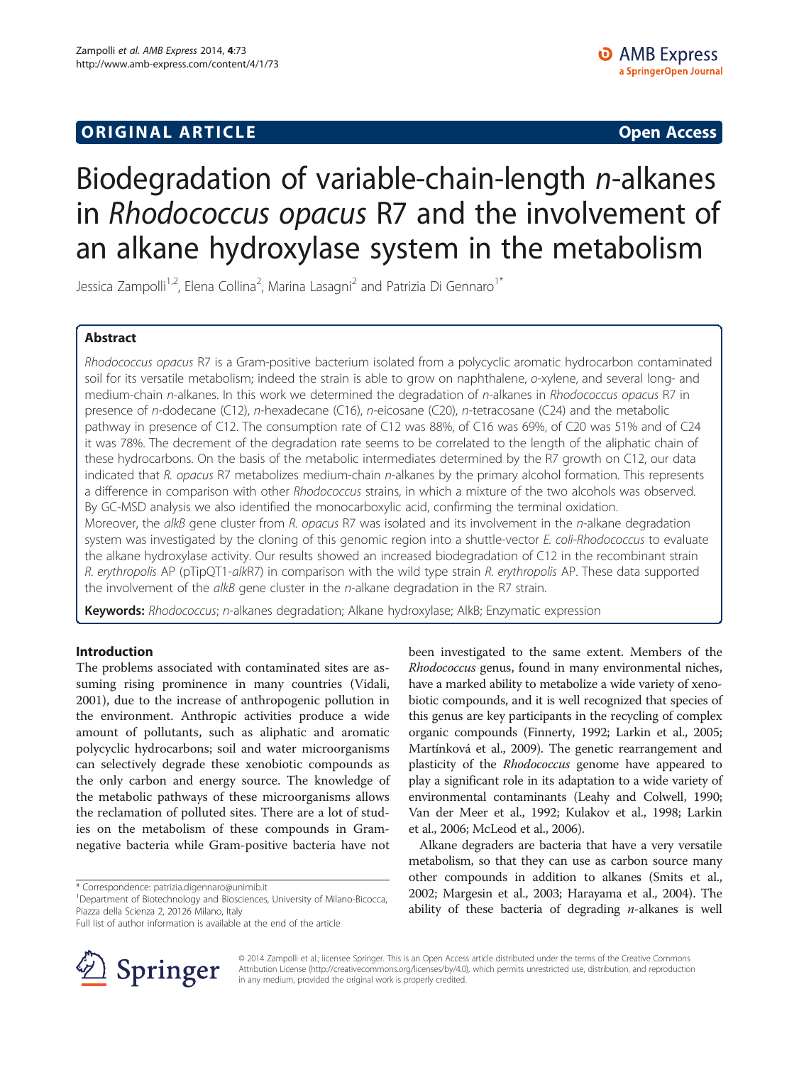## **ORIGINAL ARTICLE CONSUMING A LIGACION CONSUMING A LIGACION CONSUMING A LIGACION**

# Biodegradation of variable-chain-length n-alkanes in Rhodococcus opacus R7 and the involvement of an alkane hydroxylase system in the metabolism

Jessica Zampolli<sup>1,2</sup>, Elena Collina<sup>2</sup>, Marina Lasagni<sup>2</sup> and Patrizia Di Gennaro<sup>1\*</sup>

## Abstract

Rhodococcus opacus R7 is a Gram-positive bacterium isolated from a polycyclic aromatic hydrocarbon contaminated soil for its versatile metabolism; indeed the strain is able to grow on naphthalene, o-xylene, and several long- and medium-chain n-alkanes. In this work we determined the degradation of n-alkanes in Rhodococcus opacus R7 in presence of n-dodecane (C12), n-hexadecane (C16), n-eicosane (C20), n-tetracosane (C24) and the metabolic pathway in presence of C12. The consumption rate of C12 was 88%, of C16 was 69%, of C20 was 51% and of C24 it was 78%. The decrement of the degradation rate seems to be correlated to the length of the aliphatic chain of these hydrocarbons. On the basis of the metabolic intermediates determined by the R7 growth on C12, our data indicated that R. opacus R7 metabolizes medium-chain n-alkanes by the primary alcohol formation. This represents a difference in comparison with other Rhodococcus strains, in which a mixture of the two alcohols was observed. By GC-MSD analysis we also identified the monocarboxylic acid, confirming the terminal oxidation. Moreover, the alkB gene cluster from R. opacus R7 was isolated and its involvement in the n-alkane degradation system was investigated by the cloning of this genomic region into a shuttle-vector E. coli-Rhodococcus to evaluate the alkane hydroxylase activity. Our results showed an increased biodegradation of C12 in the recombinant strain R. erythropolis AP (pTipQT1-alkR7) in comparison with the wild type strain R. erythropolis AP. These data supported the involvement of the alkB gene cluster in the n-alkane degradation in the R7 strain.

Keywords: Rhodococcus; n-alkanes degradation; Alkane hydroxylase; AlkB; Enzymatic expression

## Introduction

The problems associated with contaminated sites are assuming rising prominence in many countries (Vidali, [2001](#page-8-0)), due to the increase of anthropogenic pollution in the environment. Anthropic activities produce a wide amount of pollutants, such as aliphatic and aromatic polycyclic hydrocarbons; soil and water microorganisms can selectively degrade these xenobiotic compounds as the only carbon and energy source. The knowledge of the metabolic pathways of these microorganisms allows the reclamation of polluted sites. There are a lot of studies on the metabolism of these compounds in Gramnegative bacteria while Gram-positive bacteria have not

\* Correspondence: [patrizia.digennaro@unimib.it](mailto:patrizia.digennaro@unimib.it) <sup>1</sup>

Full list of author information is available at the end of the article



metabolism, so that they can use as carbon source many other compounds in addition to alkanes (Smits et al., [2002](#page-8-0); Margesin et al., [2003;](#page-8-0) Harayama et al., [2004](#page-8-0)). The ability of these bacteria of degrading  $n$ -alkanes is well

been investigated to the same extent. Members of the Rhodococcus genus, found in many environmental niches, have a marked ability to metabolize a wide variety of xenobiotic compounds, and it is well recognized that species of this genus are key participants in the recycling of complex organic compounds (Finnerty, [1992;](#page-8-0) Larkin et al., [2005](#page-8-0);



© 2014 Zampolli et al.; licensee Springer. This is an Open Access article distributed under the terms of the Creative Commons Attribution License [\(http://creativecommons.org/licenses/by/4.0\)](http://creativecommons.org/licenses/by/4.0), which permits unrestricted use, distribution, and reproduction in any medium, provided the original work is properly credited.

Department of Biotechnology and Biosciences, University of Milano-Bicocca, Piazza della Scienza 2, 20126 Milano, Italy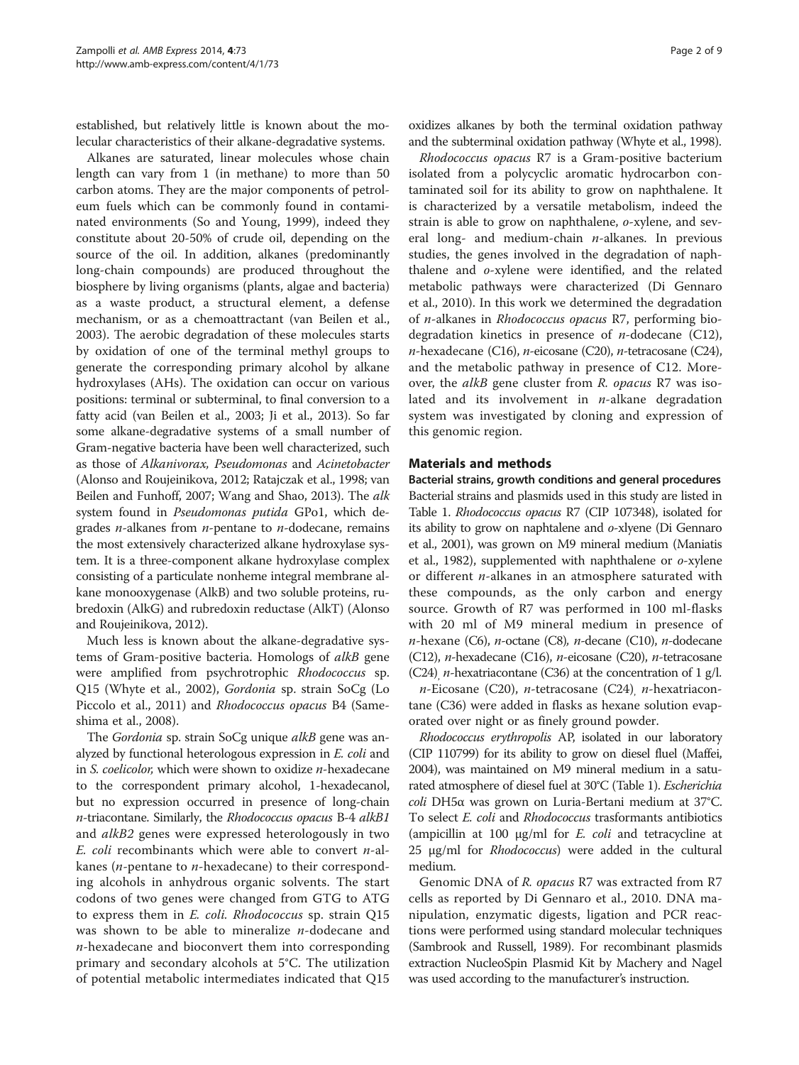established, but relatively little is known about the molecular characteristics of their alkane-degradative systems.

Alkanes are saturated, linear molecules whose chain length can vary from 1 (in methane) to more than 50 carbon atoms. They are the major components of petroleum fuels which can be commonly found in contaminated environments (So and Young, [1999\)](#page-8-0), indeed they constitute about 20-50% of crude oil, depending on the source of the oil. In addition, alkanes (predominantly long-chain compounds) are produced throughout the biosphere by living organisms (plants, algae and bacteria) as a waste product, a structural element, a defense mechanism, or as a chemoattractant (van Beilen et al., [2003](#page-8-0)). The aerobic degradation of these molecules starts by oxidation of one of the terminal methyl groups to generate the corresponding primary alcohol by alkane hydroxylases (AHs). The oxidation can occur on various positions: terminal or subterminal, to final conversion to a fatty acid (van Beilen et al., [2003;](#page-8-0) Ji et al., [2013](#page-8-0)). So far some alkane-degradative systems of a small number of Gram-negative bacteria have been well characterized, such as those of Alkanivorax, Pseudomonas and Acinetobacter (Alonso and Roujeinikova, [2012;](#page-8-0) Ratajczak et al., [1998;](#page-8-0) van Beilen and Funhoff, [2007;](#page-8-0) Wang and Shao, [2013](#page-8-0)). The alk system found in Pseudomonas putida GPo1, which degrades *n*-alkanes from *n*-pentane to *n*-dodecane, remains the most extensively characterized alkane hydroxylase system. It is a three-component alkane hydroxylase complex consisting of a particulate nonheme integral membrane alkane monooxygenase (AlkB) and two soluble proteins, rubredoxin (AlkG) and rubredoxin reductase (AlkT) (Alonso and Roujeinikova, [2012\)](#page-8-0).

Much less is known about the alkane-degradative systems of Gram-positive bacteria. Homologs of alkB gene were amplified from psychrotrophic Rhodococcus sp. Q15 (Whyte et al., [2002](#page-8-0)), Gordonia sp. strain SoCg (Lo Piccolo et al., [2011\)](#page-8-0) and Rhodococcus opacus B4 (Sameshima et al., [2008](#page-8-0)).

The Gordonia sp. strain SoCg unique alkB gene was analyzed by functional heterologous expression in E. coli and in S. coelicolor, which were shown to oxidize n-hexadecane to the correspondent primary alcohol, 1-hexadecanol, but no expression occurred in presence of long-chain n-triacontane. Similarly, the Rhodococcus opacus B-4 alkB1 and *alkB2* genes were expressed heterologously in two E. coli recombinants which were able to convert  $n$ -alkanes (n-pentane to n-hexadecane) to their corresponding alcohols in anhydrous organic solvents. The start codons of two genes were changed from GTG to ATG to express them in E. coli. Rhodococcus sp. strain Q15 was shown to be able to mineralize  $n$ -dodecane and  $n$ -hexadecane and bioconvert them into corresponding primary and secondary alcohols at 5°C. The utilization of potential metabolic intermediates indicated that Q15

oxidizes alkanes by both the terminal oxidation pathway and the subterminal oxidation pathway (Whyte et al., [1998\)](#page-8-0).

Rhodococcus opacus R7 is a Gram-positive bacterium isolated from a polycyclic aromatic hydrocarbon contaminated soil for its ability to grow on naphthalene. It is characterized by a versatile metabolism, indeed the strain is able to grow on naphthalene, o-xylene, and several long- and medium-chain  $n$ -alkanes. In previous studies, the genes involved in the degradation of naphthalene and o-xylene were identified, and the related metabolic pathways were characterized (Di Gennaro et al., [2010](#page-8-0)). In this work we determined the degradation of n-alkanes in Rhodococcus opacus R7, performing biodegradation kinetics in presence of  $n$ -dodecane (C12),  $n$ -hexadecane (C16),  $n$ -eicosane (C20),  $n$ -tetracosane (C24), and the metabolic pathway in presence of C12. Moreover, the alkB gene cluster from R. opacus R7 was isolated and its involvement in  $n$ -alkane degradation system was investigated by cloning and expression of this genomic region.

#### Materials and methods

Bacterial strains, growth conditions and general procedures Bacterial strains and plasmids used in this study are listed in Table [1](#page-2-0). Rhodococcus opacus R7 (CIP 107348), isolated for its ability to grow on naphtalene and o-xlyene (Di Gennaro et al., [2001\)](#page-8-0), was grown on M9 mineral medium (Maniatis et al., [1982\)](#page-8-0), supplemented with naphthalene or o-xylene or different  $n$ -alkanes in an atmosphere saturated with these compounds, as the only carbon and energy source. Growth of R7 was performed in 100 ml-flasks with 20 ml of M9 mineral medium in presence of  $n$ -hexane (C6),  $n$ -octane (C8),  $n$ -decane (C10),  $n$ -dodecane (C12), n-hexadecane (C16), n-eicosane (C20), n-tetracosane (C24), *n*-hexatriacontane (C36) at the concentration of 1 g/l.

 $n$ -Eicosane (C20),  $n$ -tetracosane (C24),  $n$ -hexatriacontane (C36) were added in flasks as hexane solution evaporated over night or as finely ground powder.

Rhodococcus erythropolis AP, isolated in our laboratory (CIP 110799) for its ability to grow on diesel fluel (Maffei, [2004](#page-8-0)), was maintained on M9 mineral medium in a saturated atmosphere of diesel fuel at 30°C (Table [1](#page-2-0)). Escherichia coli DH5α was grown on Luria-Bertani medium at 37°C. To select *E. coli* and *Rhodococcus* trasformants antibiotics (ampicillin at 100  $\mu$ g/ml for *E. coli* and tetracycline at 25 μg/ml for Rhodococcus) were added in the cultural medium.

Genomic DNA of R. opacus R7 was extracted from R7 cells as reported by Di Gennaro et al., [2010.](#page-8-0) DNA manipulation, enzymatic digests, ligation and PCR reactions were performed using standard molecular techniques (Sambrook and Russell, [1989](#page-8-0)). For recombinant plasmids extraction NucleoSpin Plasmid Kit by Machery and Nagel was used according to the manufacturer's instruction.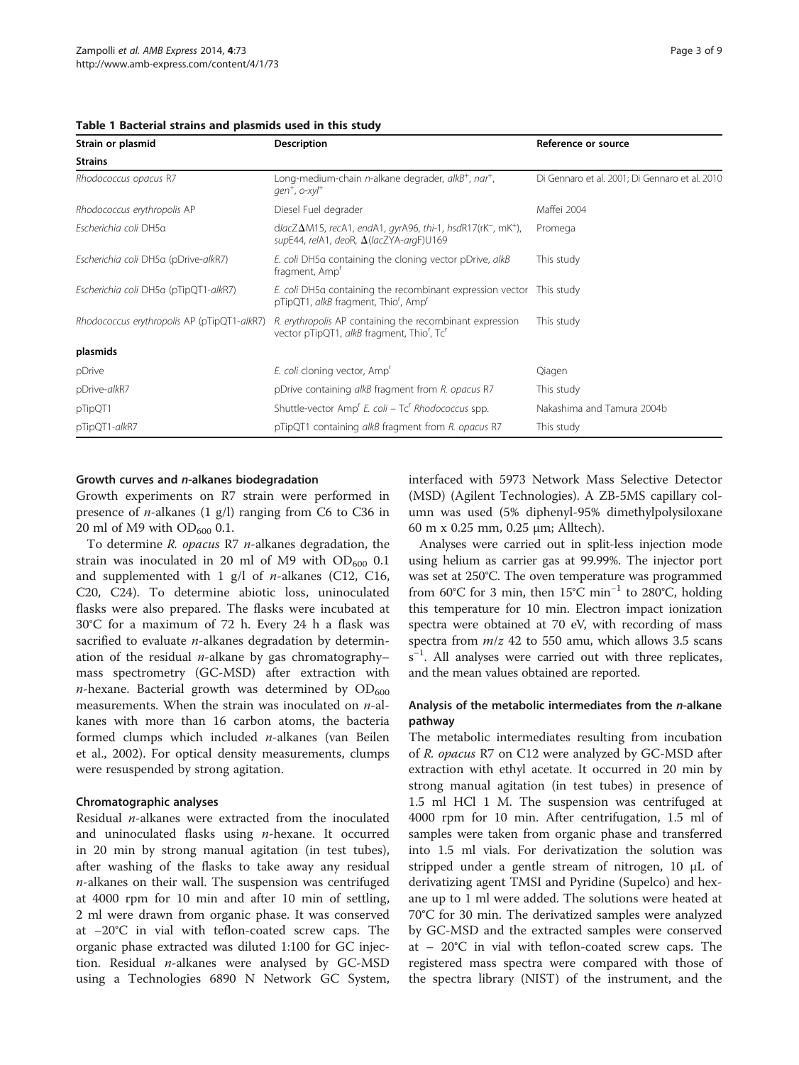| Strain or plasmid                           | <b>Description</b>                                                                                                                              | Reference or source                            |  |  |
|---------------------------------------------|-------------------------------------------------------------------------------------------------------------------------------------------------|------------------------------------------------|--|--|
| <b>Strains</b>                              |                                                                                                                                                 |                                                |  |  |
| Rhodococcus opacus R7                       | Long-medium-chain n-alkane degrader, alkB <sup>+</sup> , nar <sup>+</sup> ,<br>$gen^+$ , $o$ -xyl <sup>+</sup>                                  | Di Gennaro et al. 2001; Di Gennaro et al. 2010 |  |  |
| Rhodococcus erythropolis AP                 | Diesel Fuel degrader                                                                                                                            | Maffei 2004                                    |  |  |
| Escherichia coli DH5a                       | $dlacZ\Delta M15$ , recA1, endA1, gyrA96, thi-1, hsdR17(rK <sup>-</sup> , mK <sup>+</sup> ),<br>supE44, relA1, deoR, $\Delta$ (lacZYA-argF)U169 | Promega                                        |  |  |
| Escherichia coli DH5a (pDrive-alkR7)        | E. coli DH5a containing the cloning vector pDrive, alkB<br>fragment, Amp'                                                                       | This study                                     |  |  |
| Escherichia coli DH5a (pTipQT1-alkR7)       | E. coli DH5a containing the recombinant expression vector This study<br>pTipQT1, alkB fragment, Thio <sup>r</sup> , Amp <sup>r</sup>            |                                                |  |  |
| Rhodococcus erythropolis AP (pTipQT1-alkR7) | R. erythropolis AP containing the recombinant expression<br>vector pTipQT1, alkB fragment, Thio', Tc'                                           | This study                                     |  |  |
| plasmids                                    |                                                                                                                                                 |                                                |  |  |
| pDrive                                      | E. coli cloning vector, Amp <sup>r</sup>                                                                                                        | Qiagen                                         |  |  |
| pDrive-alkR7                                | pDrive containing alkB fragment from R. opacus R7                                                                                               | This study                                     |  |  |
| pTipQT1                                     | Shuttle-vector Amp <sup>r</sup> E. coli – Tc <sup>r</sup> Rhodococcus spp.                                                                      | Nakashima and Tamura 2004b                     |  |  |
| pTipQT1-alkR7                               | pTipQT1 containing alkB fragment from R. opacus R7                                                                                              | This study                                     |  |  |

#### <span id="page-2-0"></span>Table 1 Bacterial strains and plasmids used in this study

#### Growth curves and n-alkanes biodegradation

Growth experiments on R7 strain were performed in presence of *n*-alkanes  $(1 \text{ g/l})$  ranging from C6 to C36 in 20 ml of M9 with  $OD_{600}$  0.1.

To determine R. opacus R7 n-alkanes degradation, the strain was inoculated in 20 ml of M9 with  $OD_{600}$  0.1 and supplemented with  $1$  g/l of *n*-alkanes (C12, C16, C20, C24). To determine abiotic loss, uninoculated flasks were also prepared. The flasks were incubated at 30°C for a maximum of 72 h. Every 24 h a flask was sacrified to evaluate  $n$ -alkanes degradation by determination of the residual *n*-alkane by gas chromatography– mass spectrometry (GC-MSD) after extraction with *n*-hexane. Bacterial growth was determined by  $OD_{600}$ measurements. When the strain was inoculated on  $n$ -alkanes with more than 16 carbon atoms, the bacteria formed clumps which included n-alkanes (van Beilen et al., [2002](#page-8-0)). For optical density measurements, clumps were resuspended by strong agitation.

#### Chromatographic analyses

Residual  $n$ -alkanes were extracted from the inoculated and uninoculated flasks using  $n$ -hexane. It occurred in 20 min by strong manual agitation (in test tubes), after washing of the flasks to take away any residual  $n$ -alkanes on their wall. The suspension was centrifuged at 4000 rpm for 10 min and after 10 min of settling, 2 ml were drawn from organic phase. It was conserved at −20°C in vial with teflon-coated screw caps. The organic phase extracted was diluted 1:100 for GC injection. Residual  $n$ -alkanes were analysed by GC-MSD using a Technologies 6890 N Network GC System, interfaced with 5973 Network Mass Selective Detector (MSD) (Agilent Technologies). A ZB-5MS capillary column was used (5% diphenyl-95% dimethylpolysiloxane 60 m x 0.25 mm, 0.25 μm; Alltech).

Analyses were carried out in split-less injection mode using helium as carrier gas at 99.99%. The injector port was set at 250°C. The oven temperature was programmed from 60°C for 3 min, then 15°C min<sup>-1</sup> to 280°C, holding this temperature for 10 min. Electron impact ionization spectra were obtained at 70 eV, with recording of mass spectra from  $m/z$  42 to 550 amu, which allows 3.5 scans s<sup>-1</sup>. All analyses were carried out with three replicates, and the mean values obtained are reported.

## Analysis of the metabolic intermediates from the n-alkane pathway

The metabolic intermediates resulting from incubation of R. opacus R7 on C12 were analyzed by GC-MSD after extraction with ethyl acetate. It occurred in 20 min by strong manual agitation (in test tubes) in presence of 1.5 ml HCl 1 M. The suspension was centrifuged at 4000 rpm for 10 min. After centrifugation, 1.5 ml of samples were taken from organic phase and transferred into 1.5 ml vials. For derivatization the solution was stripped under a gentle stream of nitrogen, 10 μL of derivatizing agent TMSI and Pyridine (Supelco) and hexane up to 1 ml were added. The solutions were heated at 70°C for 30 min. The derivatized samples were analyzed by GC-MSD and the extracted samples were conserved at – 20°C in vial with teflon-coated screw caps. The registered mass spectra were compared with those of the spectra library (NIST) of the instrument, and the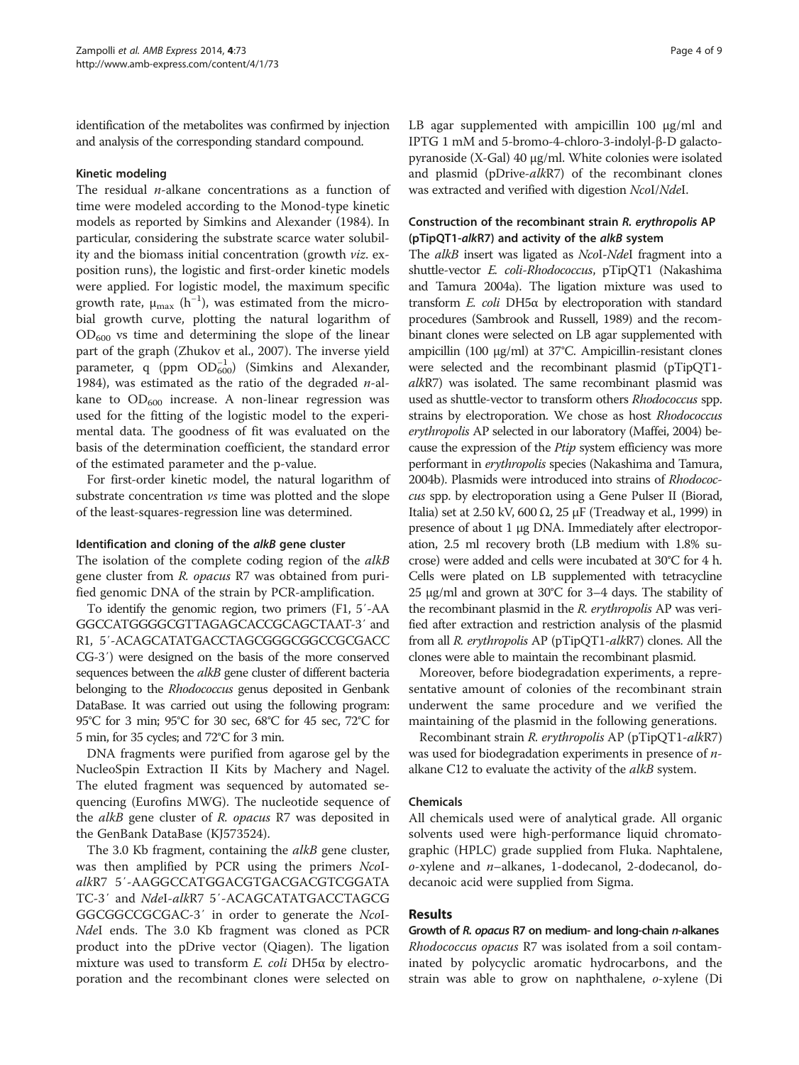identification of the metabolites was confirmed by injection and analysis of the corresponding standard compound.

#### Kinetic modeling

The residual  $n$ -alkane concentrations as a function of time were modeled according to the Monod-type kinetic models as reported by Simkins and Alexander ([1984](#page-8-0)). In particular, considering the substrate scarce water solubility and the biomass initial concentration (growth viz. exposition runs), the logistic and first-order kinetic models were applied. For logistic model, the maximum specific growth rate,  $\mu_{\text{max}}$  (h<sup>-1</sup>), was estimated from the microbial growth curve, plotting the natural logarithm of  $OD_{600}$  vs time and determining the slope of the linear part of the graph (Zhukov et al., [2007\)](#page-8-0). The inverse yield parameter, q (ppm  $OD_{600}^{-1}$ ) (Simkins and Alexander, [1984](#page-8-0)), was estimated as the ratio of the degraded  $n$ -alkane to  $OD_{600}$  increase. A non-linear regression was used for the fitting of the logistic model to the experimental data. The goodness of fit was evaluated on the basis of the determination coefficient, the standard error of the estimated parameter and the p-value.

For first-order kinetic model, the natural logarithm of substrate concentration vs time was plotted and the slope of the least-squares-regression line was determined.

#### Identification and cloning of the alkB gene cluster

The isolation of the complete coding region of the alkB gene cluster from R. opacus R7 was obtained from purified genomic DNA of the strain by PCR-amplification.

To identify the genomic region, two primers (F1, 5′-AA GGCCATGGGGCGTTAGAGCACCGCAGCTAAT-3′ and R1, 5′-ACAGCATATGACCTAGCGGGCGGCCGCGACC CG-3′) were designed on the basis of the more conserved sequences between the *alkB* gene cluster of different bacteria belonging to the Rhodococcus genus deposited in Genbank DataBase. It was carried out using the following program: 95°C for 3 min; 95°C for 30 sec, 68°C for 45 sec, 72°C for 5 min, for 35 cycles; and 72°C for 3 min.

DNA fragments were purified from agarose gel by the NucleoSpin Extraction II Kits by Machery and Nagel. The eluted fragment was sequenced by automated sequencing (Eurofins MWG). The nucleotide sequence of the alkB gene cluster of R. opacus R7 was deposited in the GenBank DataBase (KJ573524).

The 3.0 Kb fragment, containing the *alkB* gene cluster, was then amplified by PCR using the primers NcoIalkR7 5′-AAGGCCATGGACGTGACGACGTCGGATA TC-3′ and NdeI-alkR7 5′-ACAGCATATGACCTAGCG GGCGGCCGCGAC-3′ in order to generate the NcoI-NdeI ends. The 3.0 Kb fragment was cloned as PCR product into the pDrive vector (Qiagen). The ligation mixture was used to transform  $E$ . coli DH5 $\alpha$  by electroporation and the recombinant clones were selected on LB agar supplemented with ampicillin 100 μg/ml and IPTG 1 mM and 5-bromo-4-chloro-3-indolyl-β-D galactopyranoside (X-Gal) 40 μg/ml. White colonies were isolated and plasmid (pDrive-alkR7) of the recombinant clones was extracted and verified with digestion NcoI/NdeI.

#### Construction of the recombinant strain R. erythropolis AP (pTipQT1-alkR7) and activity of the alkB system

The *alkB* insert was ligated as *NcoI-NdeI* fragment into a shuttle-vector E. coli-Rhodococcus, pTipQT1 (Nakashima and Tamura [2004a\)](#page-8-0). The ligation mixture was used to transform E. coli DH5α by electroporation with standard procedures (Sambrook and Russell, [1989\)](#page-8-0) and the recombinant clones were selected on LB agar supplemented with ampicillin (100 μg/ml) at 37°C. Ampicillin-resistant clones were selected and the recombinant plasmid (pTipQT1 alkR7) was isolated. The same recombinant plasmid was used as shuttle-vector to transform others Rhodococcus spp. strains by electroporation. We chose as host Rhodococcus erythropolis AP selected in our laboratory (Maffei, [2004](#page-8-0)) because the expression of the Ptip system efficiency was more performant in erythropolis species (Nakashima and Tamura, [2004b](#page-8-0)). Plasmids were introduced into strains of Rhodococcus spp. by electroporation using a Gene Pulser II (Biorad, Italia) set at 2.50 kV, 600 Ω, 25 μF (Treadway et al., [1999](#page-8-0)) in presence of about 1 μg DNA. Immediately after electroporation, 2.5 ml recovery broth (LB medium with 1.8% sucrose) were added and cells were incubated at 30°C for 4 h. Cells were plated on LB supplemented with tetracycline 25 μg/ml and grown at 30°C for 3–4 days. The stability of the recombinant plasmid in the R. erythropolis AP was verified after extraction and restriction analysis of the plasmid from all R. erythropolis AP (pTipQT1-alkR7) clones. All the clones were able to maintain the recombinant plasmid.

Moreover, before biodegradation experiments, a representative amount of colonies of the recombinant strain underwent the same procedure and we verified the maintaining of the plasmid in the following generations.

Recombinant strain R. erythropolis AP (pTipQT1-alkR7) was used for biodegradation experiments in presence of *n*alkane C12 to evaluate the activity of the *alkB* system.

#### Chemicals

All chemicals used were of analytical grade. All organic solvents used were high-performance liquid chromatographic (HPLC) grade supplied from Fluka. Naphtalene, o-xylene and n–alkanes, 1-dodecanol, 2-dodecanol, dodecanoic acid were supplied from Sigma.

#### Results

Growth of R. opacus R7 on medium- and long-chain n-alkanes Rhodococcus opacus R7 was isolated from a soil contaminated by polycyclic aromatic hydrocarbons, and the strain was able to grow on naphthalene, o-xylene (Di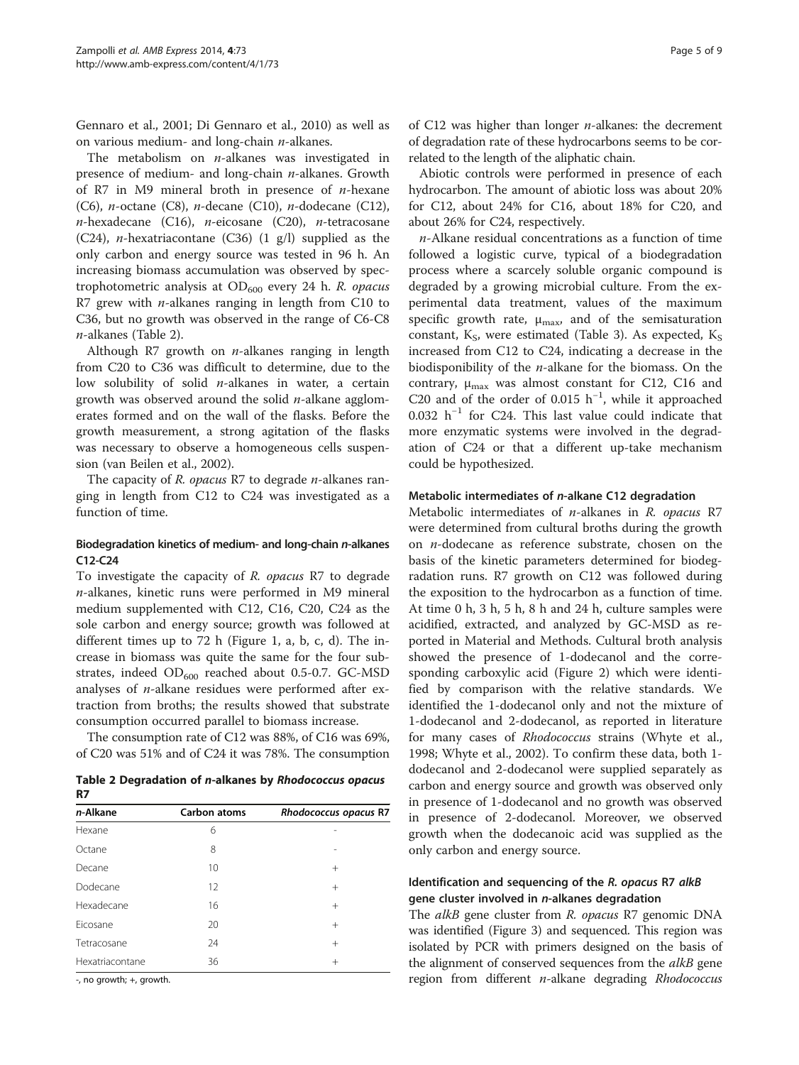Gennaro et al., [2001](#page-8-0); Di Gennaro et al., [2010](#page-8-0)) as well as on various medium- and long-chain  $n$ -alkanes.

The metabolism on  $n$ -alkanes was investigated in presence of medium- and long-chain n-alkanes. Growth of R7 in M9 mineral broth in presence of  $n$ -hexane (C6), *n*-octane (C8), *n*-decane (C10), *n*-dodecane (C12),  $n$ -hexadecane (C16),  $n$ -eicosane (C20),  $n$ -tetracosane (C24), *n*-hexatriacontane (C36)  $(1 \text{ g/l})$  supplied as the only carbon and energy source was tested in 96 h. An increasing biomass accumulation was observed by spectrophotometric analysis at  $OD_{600}$  every 24 h. R. opacus R7 grew with  $n$ -alkanes ranging in length from C10 to C36, but no growth was observed in the range of C6-C8 n-alkanes (Table 2).

Although R7 growth on *n*-alkanes ranging in length from C20 to C36 was difficult to determine, due to the low solubility of solid *n*-alkanes in water, a certain growth was observed around the solid  $n$ -alkane agglomerates formed and on the wall of the flasks. Before the growth measurement, a strong agitation of the flasks was necessary to observe a homogeneous cells suspension (van Beilen et al., [2002](#page-8-0)).

The capacity of R. opacus R7 to degrade *n*-alkanes ranging in length from C12 to C24 was investigated as a function of time.

## Biodegradation kinetics of medium- and long-chain n-alkanes C12-C24

To investigate the capacity of R. opacus R7 to degrade  $n$ -alkanes, kinetic runs were performed in M9 mineral medium supplemented with C12, C16, C20, C24 as the sole carbon and energy source; growth was followed at different times up to 72 h (Figure [1](#page-5-0), a, b, c, d). The increase in biomass was quite the same for the four substrates, indeed  $OD_{600}$  reached about 0.5-0.7. GC-MSD analyses of n-alkane residues were performed after extraction from broths; the results showed that substrate consumption occurred parallel to biomass increase.

The consumption rate of C12 was 88%, of C16 was 69%, of C20 was 51% and of C24 it was 78%. The consumption

Table 2 Degradation of n-alkanes by Rhodococcus opacus R7

| n-Alkane        | Carbon atoms | Rhodococcus opacus R7 |
|-----------------|--------------|-----------------------|
| Hexane          | 6            |                       |
| Octane          | 8            |                       |
| Decane          | 10           | $\pm$                 |
| Dodecane        | 12           | $^{+}$                |
| Hexadecane      | 16           | $^{+}$                |
| Ficosane        | 20           | $^{+}$                |
| Tetracosane     | 24           | $^{+}$                |
| Hexatriacontane | 36           | $^{+}$                |
|                 |              |                       |

-, no growth; +, growth.

of C12 was higher than longer  $n$ -alkanes: the decrement of degradation rate of these hydrocarbons seems to be correlated to the length of the aliphatic chain.

Abiotic controls were performed in presence of each hydrocarbon. The amount of abiotic loss was about 20% for C12, about 24% for C16, about 18% for C20, and about 26% for C24, respectively.

n-Alkane residual concentrations as a function of time followed a logistic curve, typical of a biodegradation process where a scarcely soluble organic compound is degraded by a growing microbial culture. From the experimental data treatment, values of the maximum specific growth rate,  $\mu_{\text{max}}$ , and of the semisaturation constant,  $K_S$ , were estimated (Table [3](#page-5-0)). As expected,  $K_S$ increased from C12 to C24, indicating a decrease in the biodisponibility of the  $n$ -alkane for the biomass. On the contrary,  $\mu_{\text{max}}$  was almost constant for C12, C16 and C20 and of the order of 0.015  $h^{-1}$ , while it approached 0.032 h−<sup>1</sup> for C24. This last value could indicate that more enzymatic systems were involved in the degradation of C24 or that a different up-take mechanism could be hypothesized.

#### Metabolic intermediates of n-alkane C12 degradation

Metabolic intermediates of n-alkanes in R. opacus R7 were determined from cultural broths during the growth on n-dodecane as reference substrate, chosen on the basis of the kinetic parameters determined for biodegradation runs. R7 growth on C12 was followed during the exposition to the hydrocarbon as a function of time. At time 0 h, 3 h, 5 h, 8 h and 24 h, culture samples were acidified, extracted, and analyzed by GC-MSD as reported in Material and Methods. Cultural broth analysis showed the presence of 1-dodecanol and the corresponding carboxylic acid (Figure [2\)](#page-6-0) which were identified by comparison with the relative standards. We identified the 1-dodecanol only and not the mixture of 1-dodecanol and 2-dodecanol, as reported in literature for many cases of Rhodococcus strains (Whyte et al., [1998](#page-8-0); Whyte et al., [2002\)](#page-8-0). To confirm these data, both 1 dodecanol and 2-dodecanol were supplied separately as carbon and energy source and growth was observed only in presence of 1-dodecanol and no growth was observed in presence of 2-dodecanol. Moreover, we observed growth when the dodecanoic acid was supplied as the only carbon and energy source.

## Identification and sequencing of the R. opacus R7 alkB gene cluster involved in n-alkanes degradation

The alkB gene cluster from R. opacus R7 genomic DNA was identified (Figure [3](#page-6-0)) and sequenced. This region was isolated by PCR with primers designed on the basis of the alignment of conserved sequences from the *alkB* gene region from different n-alkane degrading Rhodococcus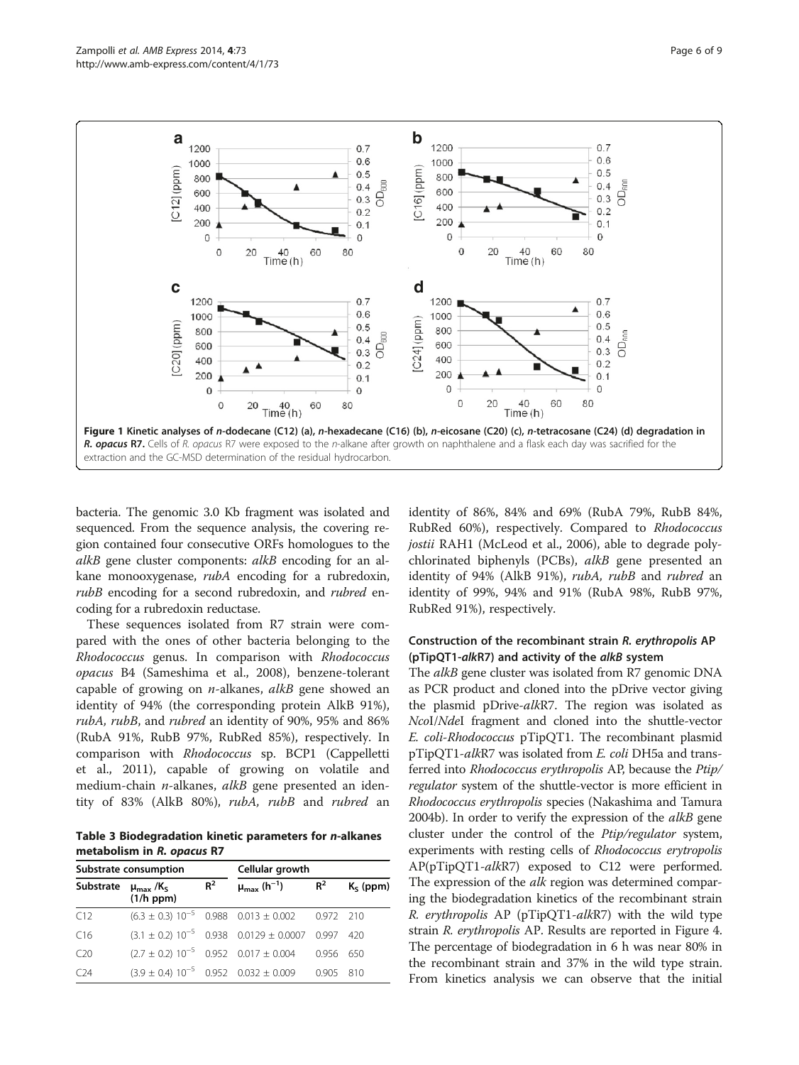<span id="page-5-0"></span>

bacteria. The genomic 3.0 Kb fragment was isolated and sequenced. From the sequence analysis, the covering region contained four consecutive ORFs homologues to the alkB gene cluster components: alkB encoding for an alkane monooxygenase, rubA encoding for a rubredoxin, rubB encoding for a second rubredoxin, and *rubred* encoding for a rubredoxin reductase.

These sequences isolated from R7 strain were compared with the ones of other bacteria belonging to the Rhodococcus genus. In comparison with Rhodococcus opacus B4 (Sameshima et al., [2008\)](#page-8-0), benzene-tolerant capable of growing on  $n$ -alkanes,  $alkB$  gene showed an identity of 94% (the corresponding protein AlkB 91%), rubA, rubB, and rubred an identity of 90%, 95% and 86% (RubA 91%, RubB 97%, RubRed 85%), respectively. In comparison with Rhodococcus sp. BCP1 (Cappelletti et al., [2011](#page-8-0)), capable of growing on volatile and medium-chain  $n$ -alkanes,  $alkB$  gene presented an identity of 83% (AlkB 80%), rubA, rubB and rubred an

Table 3 Biodegradation kinetic parameters for n-alkanes metabolism in R. opacus R7

| Substrate consumption                        |                |       | Cellular growth                                           |       |             |  |
|----------------------------------------------|----------------|-------|-----------------------------------------------------------|-------|-------------|--|
| Substrate $\mu_{\text{max}}$ /K <sub>S</sub> | $(1/h$ ppm $)$ | $R^2$ | $\mu_{\text{max}}$ (h <sup>-1</sup> )                     | $R^2$ | $K_S$ (ppm) |  |
| C12                                          |                |       | $(6.3 \pm 0.3) 10^{-5} 0.988 0.013 \pm 0.002 0.972 210$   |       |             |  |
| C16                                          |                |       | $(3.1 \pm 0.2) 10^{-5} 0.938 0.0129 \pm 0.0007 0.997 420$ |       |             |  |
| C20                                          |                |       | $(2.7 \pm 0.2) 10^{-5} 0.952 0.017 \pm 0.004 0.956 650$   |       |             |  |
| C <sub>24</sub>                              |                |       | $(3.9 \pm 0.4) 10^{-5} 0.952 0.032 \pm 0.009 0.905$       |       | 810         |  |

identity of 86%, 84% and 69% (RubA 79%, RubB 84%, RubRed 60%), respectively. Compared to Rhodococcus jostii RAH1 (McLeod et al., [2006](#page-8-0)), able to degrade polychlorinated biphenyls (PCBs), alkB gene presented an identity of 94% (AlkB 91%), rubA, rubB and rubred an identity of 99%, 94% and 91% (RubA 98%, RubB 97%, RubRed 91%), respectively.

## Construction of the recombinant strain R. erythropolis AP (pTipQT1-alkR7) and activity of the alkB system

The alkB gene cluster was isolated from R7 genomic DNA as PCR product and cloned into the pDrive vector giving the plasmid pDrive-alkR7. The region was isolated as NcoI/NdeI fragment and cloned into the shuttle-vector E. coli-Rhodococcus pTipQT1. The recombinant plasmid pTipQT1-alkR7 was isolated from E. coli DH5a and transferred into Rhodococcus erythropolis AP, because the Ptip/ regulator system of the shuttle-vector is more efficient in Rhodococcus erythropolis species (Nakashima and Tamura [2004b\)](#page-8-0). In order to verify the expression of the *alkB* gene cluster under the control of the Ptip/regulator system, experiments with resting cells of Rhodococcus erytropolis AP(pTipQT1-alkR7) exposed to C12 were performed. The expression of the *alk* region was determined comparing the biodegradation kinetics of the recombinant strain R. erythropolis AP (pTipQT1-alkR7) with the wild type strain R. erythropolis AP. Results are reported in Figure [4](#page-7-0). The percentage of biodegradation in 6 h was near 80% in the recombinant strain and 37% in the wild type strain. From kinetics analysis we can observe that the initial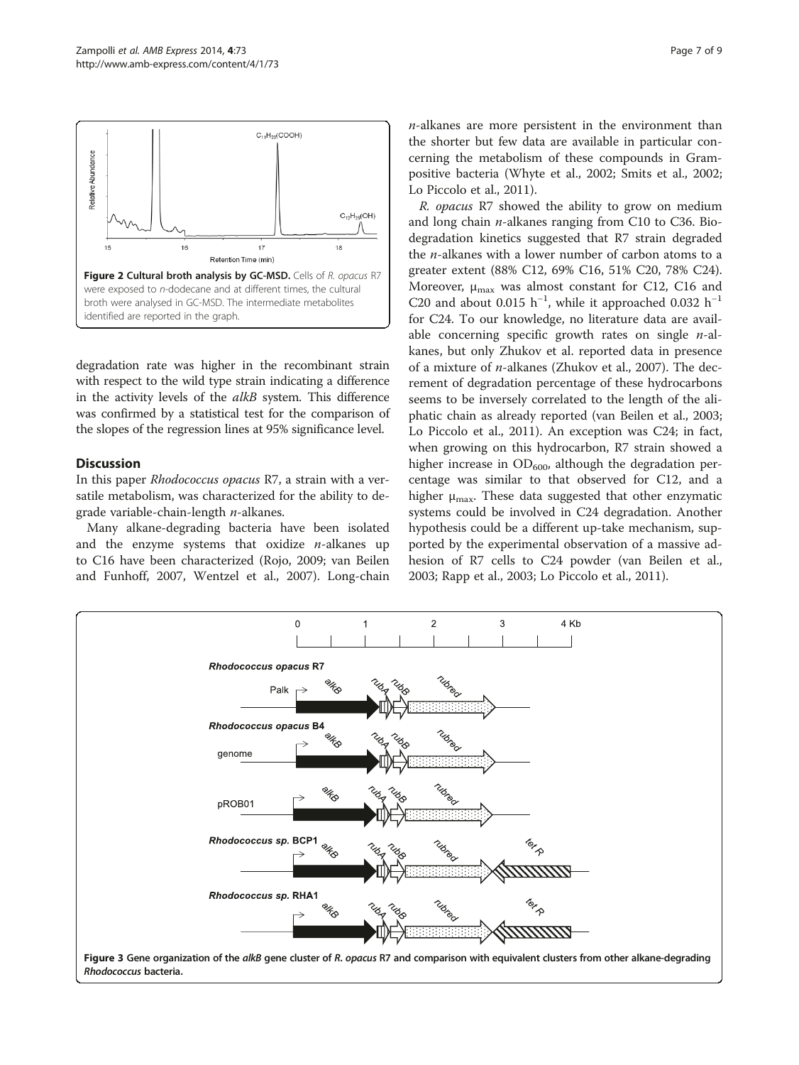<span id="page-6-0"></span>

degradation rate was higher in the recombinant strain with respect to the wild type strain indicating a difference in the activity levels of the *alkB* system. This difference was confirmed by a statistical test for the comparison of the slopes of the regression lines at 95% significance level.

## Discussion

In this paper Rhodococcus opacus R7, a strain with a versatile metabolism, was characterized for the ability to degrade variable-chain-length  $n$ -alkanes.

Many alkane-degrading bacteria have been isolated and the enzyme systems that oxidize  $n$ -alkanes up to C16 have been characterized (Rojo, [2009;](#page-8-0) van Beilen and Funhoff, [2007,](#page-8-0) Wentzel et al., [2007](#page-8-0)). Long-chain

 $n$ -alkanes are more persistent in the environment than the shorter but few data are available in particular concerning the metabolism of these compounds in Grampositive bacteria (Whyte et al., [2002;](#page-8-0) Smits et al., [2002](#page-8-0); Lo Piccolo et al., [2011](#page-8-0)).

R. opacus R7 showed the ability to grow on medium and long chain  $n$ -alkanes ranging from C10 to C36. Biodegradation kinetics suggested that R7 strain degraded the  $n$ -alkanes with a lower number of carbon atoms to a greater extent (88% C12, 69% C16, 51% C20, 78% C24). Moreover,  $\mu_{\text{max}}$  was almost constant for C12, C16 and C20 and about 0.015  $h^{-1}$ , while it approached 0.032  $h^{-1}$ for C24. To our knowledge, no literature data are available concerning specific growth rates on single  $n$ -alkanes, but only Zhukov et al. reported data in presence of a mixture of n-alkanes (Zhukov et al., [2007](#page-8-0)). The decrement of degradation percentage of these hydrocarbons seems to be inversely correlated to the length of the aliphatic chain as already reported (van Beilen et al., [2003](#page-8-0); Lo Piccolo et al., [2011](#page-8-0)). An exception was C24; in fact, when growing on this hydrocarbon, R7 strain showed a higher increase in  $OD_{600}$ , although the degradation percentage was similar to that observed for C12, and a higher  $\mu_{\text{max}}$ . These data suggested that other enzymatic systems could be involved in C24 degradation. Another hypothesis could be a different up-take mechanism, supported by the experimental observation of a massive adhesion of R7 cells to C24 powder (van Beilen et al., [2003](#page-8-0); Rapp et al., [2003;](#page-8-0) Lo Piccolo et al., [2011](#page-8-0)).

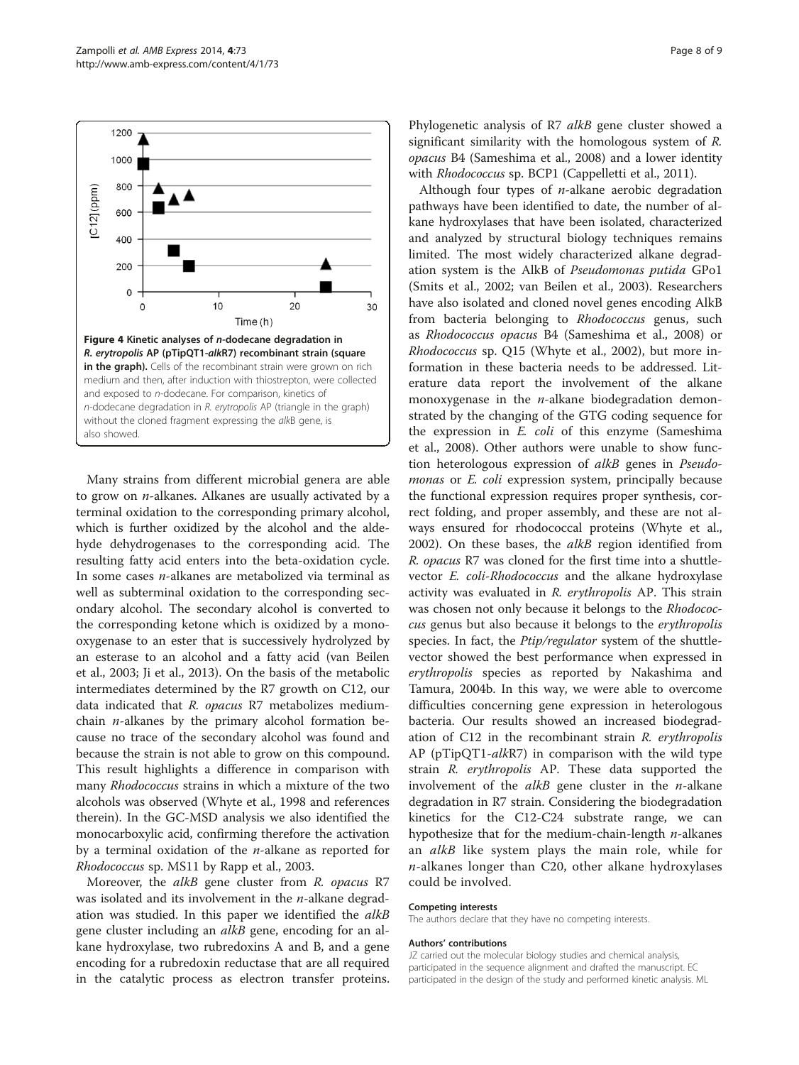

<span id="page-7-0"></span>

Many strains from different microbial genera are able to grow on  $n$ -alkanes. Alkanes are usually activated by a terminal oxidation to the corresponding primary alcohol, which is further oxidized by the alcohol and the aldehyde dehydrogenases to the corresponding acid. The resulting fatty acid enters into the beta-oxidation cycle. In some cases n-alkanes are metabolized via terminal as well as subterminal oxidation to the corresponding secondary alcohol. The secondary alcohol is converted to the corresponding ketone which is oxidized by a monooxygenase to an ester that is successively hydrolyzed by an esterase to an alcohol and a fatty acid (van Beilen et al., [2003](#page-8-0); Ji et al., [2013](#page-8-0)). On the basis of the metabolic intermediates determined by the R7 growth on C12, our data indicated that R. opacus R7 metabolizes mediumchain  $n$ -alkanes by the primary alcohol formation because no trace of the secondary alcohol was found and because the strain is not able to grow on this compound. This result highlights a difference in comparison with many *Rhodococcus* strains in which a mixture of the two alcohols was observed (Whyte et al., [1998](#page-8-0) and references therein). In the GC-MSD analysis we also identified the monocarboxylic acid, confirming therefore the activation by a terminal oxidation of the  $n$ -alkane as reported for Rhodococcus sp. MS11 by Rapp et al., [2003](#page-8-0).

Moreover, the *alkB* gene cluster from *R. opacus* R7 was isolated and its involvement in the  $n$ -alkane degradation was studied. In this paper we identified the *alkB* gene cluster including an alkB gene, encoding for an alkane hydroxylase, two rubredoxins A and B, and a gene encoding for a rubredoxin reductase that are all required in the catalytic process as electron transfer proteins.

Phylogenetic analysis of R7 alkB gene cluster showed a significant similarity with the homologous system of R. opacus B4 (Sameshima et al., [2008\)](#page-8-0) and a lower identity with Rhodococcus sp. BCP1 (Cappelletti et al., [2011](#page-8-0)).

Although four types of  $n$ -alkane aerobic degradation pathways have been identified to date, the number of alkane hydroxylases that have been isolated, characterized and analyzed by structural biology techniques remains limited. The most widely characterized alkane degradation system is the AlkB of Pseudomonas putida GPo1 (Smits et al., [2002](#page-8-0); van Beilen et al., [2003\)](#page-8-0). Researchers have also isolated and cloned novel genes encoding AlkB from bacteria belonging to *Rhodococcus* genus, such as Rhodococcus opacus B4 (Sameshima et al., [2008](#page-8-0)) or Rhodococcus sp. Q15 (Whyte et al., [2002\)](#page-8-0), but more information in these bacteria needs to be addressed. Literature data report the involvement of the alkane monoxygenase in the  $n$ -alkane biodegradation demonstrated by the changing of the GTG coding sequence for the expression in  $E$ . *coli* of this enzyme (Sameshima et al., [2008\)](#page-8-0). Other authors were unable to show function heterologous expression of alkB genes in Pseudomonas or *E. coli* expression system, principally because the functional expression requires proper synthesis, correct folding, and proper assembly, and these are not always ensured for rhodococcal proteins (Whyte et al., [2002](#page-8-0)). On these bases, the alkB region identified from R. opacus R7 was cloned for the first time into a shuttlevector E. coli-Rhodococcus and the alkane hydroxylase activity was evaluated in R. erythropolis AP. This strain was chosen not only because it belongs to the Rhodococcus genus but also because it belongs to the erythropolis species. In fact, the *Ptip/regulator* system of the shuttlevector showed the best performance when expressed in erythropolis species as reported by Nakashima and Tamura, [2004b](#page-8-0). In this way, we were able to overcome difficulties concerning gene expression in heterologous bacteria. Our results showed an increased biodegradation of C12 in the recombinant strain R. erythropolis AP (pTipQT1-alkR7) in comparison with the wild type strain R. erythropolis AP. These data supported the involvement of the  $alkB$  gene cluster in the *n*-alkane degradation in R7 strain. Considering the biodegradation kinetics for the C12-C24 substrate range, we can hypothesize that for the medium-chain-length  $n$ -alkanes an *alkB* like system plays the main role, while for n-alkanes longer than C20, other alkane hydroxylases could be involved.

#### Competing interests

The authors declare that they have no competing interests.

#### Authors' contributions

JZ carried out the molecular biology studies and chemical analysis, participated in the sequence alignment and drafted the manuscript. EC participated in the design of the study and performed kinetic analysis. ML